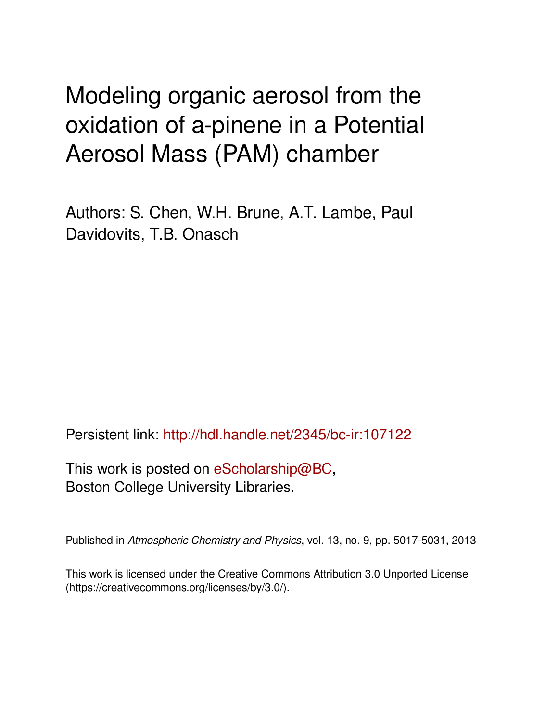# Modeling organic aerosol from the oxidation of a-pinene in a Potential Aerosol Mass (PAM) chamber

Authors: S. Chen, W.H. Brune, A.T. Lambe, Paul Davidovits, T.B. Onasch

Persistent link: <http://hdl.handle.net/2345/bc-ir:107122>

This work is posted on [eScholarship@BC](http://escholarship.bc.edu), Boston College University Libraries.

Published in *Atmospheric Chemistry and Physics*, vol. 13, no. 9, pp. 5017-5031, 2013

This work is licensed under the Creative Commons Attribution 3.0 Unported License (https://creativecommons.org/licenses/by/3.0/).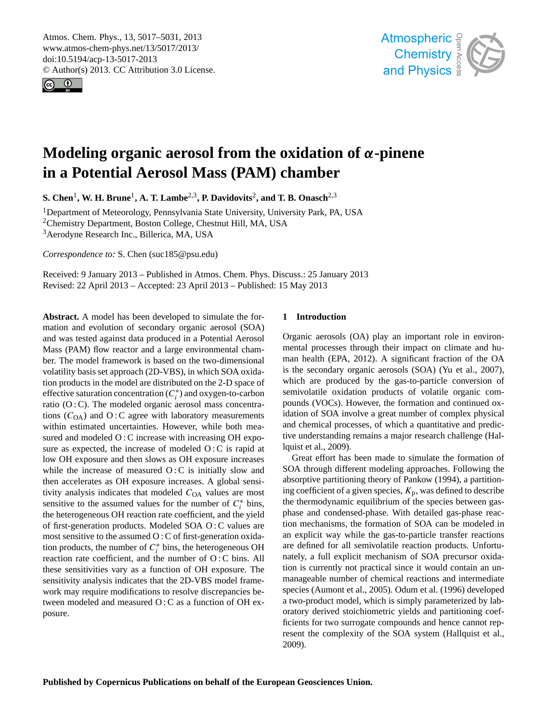<span id="page-1-0"></span>Atmos. Chem. Phys., 13, 5017–5031, 2013 www.atmos-chem-phys.net/13/5017/2013/ doi:10.5194/acp-13-5017-2013 © Author(s) 2013. CC Attribution 3.0 License.





# **Modeling organic aerosol from the oxidation of** α**-pinene in a Potential Aerosol Mass (PAM) chamber**

 $\mathbf{S.}$  Chen<sup>1</sup>, W. H. Brune<sup>1</sup>, A. T. Lambe<sup>2,3</sup>, P. Davidovits<sup>2</sup>, and T. B. Onasch<sup>2,3</sup>

<sup>1</sup>Department of Meteorology, Pennsylvania State University, University Park, PA, USA <sup>2</sup>Chemistry Department, Boston College, Chestnut Hill, MA, USA <sup>3</sup> Aerodyne Research Inc., Billerica, MA, USA

*Correspondence to:* S. Chen (suc185@psu.edu)

Received: 9 January 2013 – Published in Atmos. Chem. Phys. Discuss.: 25 January 2013 Revised: 22 April 2013 – Accepted: 23 April 2013 – Published: 15 May 2013

**Abstract.** A model has been developed to simulate the formation and evolution of secondary organic aerosol (SOA) and was tested against data produced in a Potential Aerosol Mass (PAM) flow reactor and a large environmental chamber. The model framework is based on the two-dimensional volatility basis set approach (2D-VBS), in which SOA oxidation products in the model are distributed on the 2-D space of effective saturation concentration  $(C_i^*)$  and oxygen-to-carbon ratio  $(O:C)$ . The modeled organic aerosol mass concentrations  $(C<sub>OA</sub>)$  and O : C agree with laboratory measurements within estimated uncertainties. However, while both measured and modeled O: C increase with increasing OH exposure as expected, the increase of modeled  $O: C$  is rapid at low OH exposure and then slows as OH exposure increases while the increase of measured  $O: C$  is initially slow and then accelerates as OH exposure increases. A global sensitivity analysis indicates that modeled  $C<sub>OA</sub>$  values are most sensitive to the assumed values for the number of  $C_i^*$  bins, the heterogeneous OH reaction rate coefficient, and the yield of first-generation products. Modeled SOA O : C values are most sensitive to the assumed O : C of first-generation oxidation products, the number of  $C_i^*$  bins, the heterogeneous OH reaction rate coefficient, and the number of O : C bins. All these sensitivities vary as a function of OH exposure. The sensitivity analysis indicates that the 2D-VBS model framework may require modifications to resolve discrepancies between modeled and measured O : C as a function of OH exposure.

# **1 Introduction**

man health (EPA, 2012). A significant fraction of the OA is the secondary organic aerosols (SOA) (Yu et al., 2007), which are produced by the gas-to-particle conversion of pounds (VOCs). However, the formation and continued oxon<br>et<br>con tive understanding remains a major research challenge (Hale<br>al<br>fo Organic aerosols (OA) play an important role in environmental processes through their impact on climate and husemivolatile oxidation products of volatile organic comidation of SOA involve a great number of complex physical and chemical processes, of which a quantitative and prediclquist et al., 2009).

nst et al., 2009).<br>Great effort has been made to simulate the formation of ing coefficient of a given species,  $K_p$ , was defined to describe Ine inermodynamic equinorium of the species between gas-<br>phase and condensed-phase. With detailed gas-phase reaction mechanisms, the formation of SOA can be modeled in ed<br>bes<br>e tion is currently not practical since it would contain an uncu<br>Or<br>| i<br>| 6 resent the complexity of the SOA system (Hallquist et al., ur<br>:e<br>ull SOA through different modeling approaches. Following the absorptive partitioning theory of Pankow (1994), a partitionthe thermodynamic equilibrium of the species between gasan explicit way while the gas-to-particle transfer reactions are defined for all semivolatile reaction products. Unfortunately, a full explicit mechanism of SOA precursor oxidamanageable number of chemical reactions and intermediate species (Aumont et al., 2005). Odum et al. (1996) developed a two-product model, which is simply parameterized by laboratory derived stoichiometric yields and partitioning coefficients for two surrogate compounds and hence cannot rep-2009).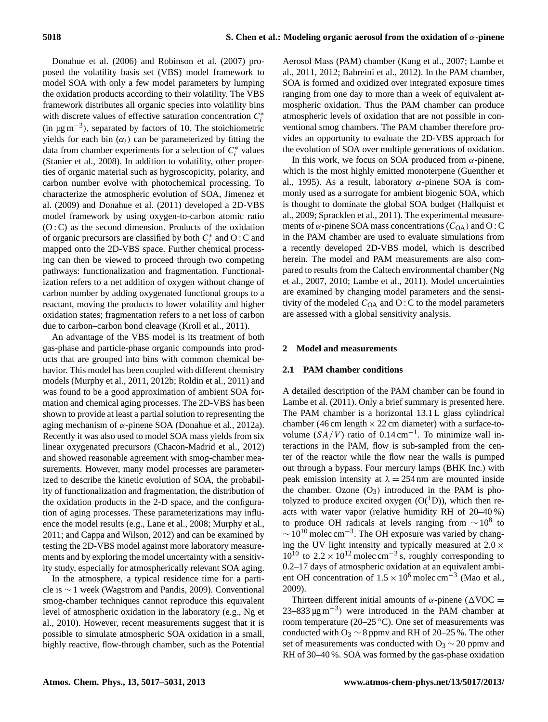Donahue et al. (2006) and Robinson et al. (2007) proposed the volatility basis set (VBS) model framework to model SOA with only a few model parameters by lumping the oxidation products according to their volatility. The VBS framework distributes all organic species into volatility bins with discrete values of effective saturation concentration  $C_i^*$ (in  $\mu$ g m<sup>-3</sup>), separated by factors of 10. The stoichiometric yields for each bin  $(\alpha_i)$  can be parameterized by fitting the data from chamber experiments for a selection of  $C_i^*$  values (Stanier et al., 2008). In addition to volatility, other properties of organic material such as hygroscopicity, polarity, and carbon number evolve with photochemical processing. To characterize the atmospheric evolution of SOA, Jimenez et al. (2009) and Donahue et al. (2011) developed a 2D-VBS model framework by using oxygen-to-carbon atomic ratio  $(O : C)$  as the second dimension. Products of the oxidation of organic precursors are classified by both  $C_i^*$  and O : C and mapped onto the 2D-VBS space. Further chemical processing can then be viewed to proceed through two competing pathways: functionalization and fragmentation. Functionalization refers to a net addition of oxygen without change of carbon number by adding oxygenated functional groups to a reactant, moving the products to lower volatility and higher oxidation states; fragmentation refers to a net loss of carbon due to carbon–carbon bond cleavage (Kroll et al., 2011).

An advantage of the VBS model is its treatment of both gas-phase and particle-phase organic compounds into products that are grouped into bins with common chemical behavior. This model has been coupled with different chemistry models (Murphy et al., 2011, 2012b; Roldin et al., 2011) and was found to be a good approximation of ambient SOA formation and chemical aging processes. The 2D-VBS has been shown to provide at least a partial solution to representing the aging mechanism of  $α$ -pinene SOA (Donahue et al., 2012a). Recently it was also used to model SOA mass yields from six linear oxygenated precursors (Chacon-Madrid et al., 2012) and showed reasonable agreement with smog-chamber measurements. However, many model processes are parameterized to describe the kinetic evolution of SOA, the probability of functionalization and fragmentation, the distribution of the oxidation products in the 2-D space, and the configuration of aging processes. These parameterizations may influence the model results (e.g., Lane et al., 2008; Murphy et al., 2011; and Cappa and Wilson, 2012) and can be examined by testing the 2D-VBS model against more laboratory measurements and by exploring the model uncertainty with a sensitivity study, especially for atmospherically relevant SOA aging.

In the atmosphere, a typical residence time for a particle is ∼ 1 week (Wagstrom and Pandis, 2009). Conventional smog-chamber techniques cannot reproduce this equivalent level of atmospheric oxidation in the laboratory (e.g., Ng et al., 2010). However, recent measurements suggest that it is possible to simulate atmospheric SOA oxidation in a small, highly reactive, flow-through chamber, such as the Potential Aerosol Mass (PAM) chamber (Kang et al., 2007; Lambe et al., 2011, 2012; Bahreini et al., 2012). In the PAM chamber, SOA is formed and oxidized over integrated exposure times ranging from one day to more than a week of equivalent atmospheric oxidation. Thus the PAM chamber can produce atmospheric levels of oxidation that are not possible in conventional smog chambers. The PAM chamber therefore provides an opportunity to evaluate the 2D-VBS approach for the evolution of SOA over multiple generations of oxidation.

In this work, we focus on SOA produced from  $\alpha$ -pinene, which is the most highly emitted monoterpene (Guenther et al., 1995). As a result, laboratory  $\alpha$ -pinene SOA is commonly used as a surrogate for ambient biogenic SOA, which is thought to dominate the global SOA budget (Hallquist et al., 2009; Spracklen et al., 2011). The experimental measurements of  $\alpha$ -pinene SOA mass concentrations ( $C_{OA}$ ) and O : C in the PAM chamber are used to evaluate simulations from a recently developed 2D-VBS model, which is described herein. The model and PAM measurements are also compared to results from the Caltech environmental chamber (Ng et al., 2007, 2010; Lambe et al., 2011). Model uncertainties are examined by changing model parameters and the sensitivity of the modeled  $C_{OA}$  and  $O: C$  to the model parameters are assessed with a global sensitivity analysis.

## **2 Model and measurements**

#### **2.1 PAM chamber conditions**

A detailed description of the PAM chamber can be found in Lambe et al. (2011). Only a brief summary is presented here. The PAM chamber is a horizontal 13.1 L glass cylindrical chamber (46 cm length  $\times$  22 cm diameter) with a surface-tovolume  $(SA/V)$  ratio of 0.14 cm<sup>-1</sup>. To minimize wall interactions in the PAM, flow is sub-sampled from the center of the reactor while the flow near the walls is pumped out through a bypass. Four mercury lamps (BHK Inc.) with peak emission intensity at  $\lambda = 254$  nm are mounted inside the chamber. Ozone  $(O_3)$  introduced in the PAM is photolyzed to produce excited oxygen  $(O(^1D))$ , which then reacts with water vapor (relative humidity RH of 20–40 %) to produce OH radicals at levels ranging from  $\sim 10^8$  to  $\sim$  10<sup>10</sup> molec cm<sup>-3</sup>. The OH exposure was varied by changing the UV light intensity and typically measured at  $2.0 \times$  $10^{10}$  to  $2.2 \times 10^{12}$  molec cm<sup>-3</sup> s, roughly corresponding to 0.2–17 days of atmospheric oxidation at an equivalent ambient OH concentration of  $1.5 \times 10^6$  molec cm<sup>-3</sup> (Mao et al., 2009).

Thirteen different initial amounts of  $\alpha$ -pinene ( $\Delta$ VOC =  $23-833 \,\mu g \,\text{m}^{-3}$ ) were introduced in the PAM chamber at room temperature (20–25 ◦C). One set of measurements was conducted with O<sub>3</sub>  $\sim$  8 ppmv and RH of 20–25 %. The other set of measurements was conducted with  $O_3 \sim 20$  ppmv and RH of 30–40 %. SOA was formed by the gas-phase oxidation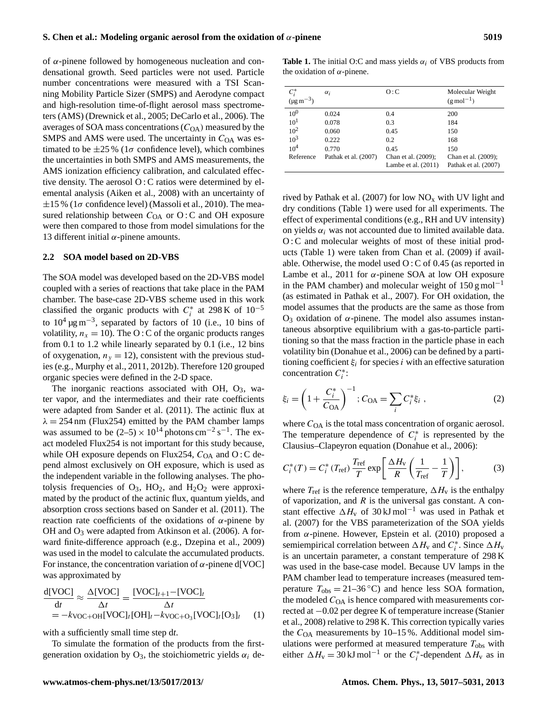of α-pinene followed by homogeneous nucleation and condensational growth. Seed particles were not used. Particle number concentrations were measured with a TSI Scanning Mobility Particle Sizer (SMPS) and Aerodyne compact and high-resolution time-of-flight aerosol mass spectrometers (AMS) (Drewnick et al., 2005; DeCarlo et al., 2006). The averages of SOA mass concentrations  $(C<sub>OA</sub>)$  measured by the SMPS and AMS were used. The uncertainty in  $C<sub>OA</sub>$  was estimated to be  $\pm 25\%$  (1 $\sigma$  confidence level), which combines the uncertainties in both SMPS and AMS measurements, the AMS ionization efficiency calibration, and calculated effective density. The aerosol O : C ratios were determined by elemental analysis (Aiken et al., 2008) with an uncertainty of  $\pm 15$  % (1 $\sigma$  confidence level) (Massoli et al., 2010). The measured relationship between  $C<sub>OA</sub>$  or O: C and OH exposure were then compared to those from model simulations for the 13 different initial  $α$ -pinene amounts.

#### **2.2 SOA model based on 2D-VBS**

The SOA model was developed based on the 2D-VBS model coupled with a series of reactions that take place in the PAM chamber. The base-case 2D-VBS scheme used in this work classified the organic products with  $C_i^*$  at 298 K of 10<sup>-5</sup> to  $10^4 \,\mathrm{\upmu g\,m}^{-3}$ , separated by factors of 10 (i.e., 10 bins of volatility,  $n_x = 10$ ). The O : C of the organic products ranges from 0.1 to 1.2 while linearly separated by 0.1 (i.e., 12 bins of oxygenation,  $n<sub>v</sub> = 12$ ), consistent with the previous studies (e.g., Murphy et al., 2011, 2012b). Therefore 120 grouped organic species were defined in the 2-D space.

The inorganic reactions associated with OH,  $O_3$ , water vapor, and the intermediates and their rate coefficients were adapted from Sander et al. (2011). The actinic flux at  $\lambda = 254$  nm (Flux254) emitted by the PAM chamber lamps was assumed to be  $(2-5) \times 10^{14}$  photons cm<sup>-2</sup> s<sup>-1</sup>. The exact modeled Flux254 is not important for this study because, while OH exposure depends on Flux254,  $C_{OA}$  and O : C depend almost exclusively on OH exposure, which is used as the independent variable in the following analyses. The photolysis frequencies of  $O_3$ ,  $HO_2$ , and  $H_2O_2$  were approximated by the product of the actinic flux, quantum yields, and absorption cross sections based on Sander et al. (2011). The reaction rate coefficients of the oxidations of α-pinene by OH and  $O_3$  were adapted from Atkinson et al. (2006). A forward finite-difference approach (e.g., Dzepina et al., 2009) was used in the model to calculate the accumulated products. For instance, the concentration variation of  $\alpha$ -pinene d[VOC] was approximated by

$$
\frac{d[VOC]}{dt} \approx \frac{\Delta[VOC]}{\Delta t} = \frac{[VOC]_{t+1} - [VOC]_t}{\Delta t}
$$
  
= -k<sub>VOC+OH</sub>[VOC]<sub>t</sub>[OH]<sub>t</sub> -k<sub>VOC+O<sub>3</sub></sub>[VOC]<sub>t</sub>[O<sub>3</sub>]<sub>t</sub> (1)

with a sufficiently small time step d*t*.

To simulate the formation of the products from the firstgeneration oxidation by  $O_3$ , the stoichiometric yields  $\alpha_i$  de-

**Table 1.** The initial O:C and mass yields  $\alpha_i$  of VBS products from the oxidation of  $\alpha$ -pinene.

| $C_i^*$<br>$(\mu g \, \text{m}^{-3})$ | $\alpha_i$           | O:C                                          | Molecular Weight<br>$(g \text{ mol}^{-1})$  |
|---------------------------------------|----------------------|----------------------------------------------|---------------------------------------------|
| $10^{0}$                              | 0.024                | 0.4                                          | 200                                         |
| $10^{1}$                              | 0.078                | 0.3                                          | 184                                         |
| $10^{2}$                              | 0.060                | 0.45                                         | 150                                         |
| $10^{3}$                              | 0.222                | 0.2                                          | 168                                         |
| 10 <sup>4</sup>                       | 0.770                | 0.45                                         | 150                                         |
| Reference                             | Pathak et al. (2007) | Chan et al. (2009);<br>Lambe et al. $(2011)$ | Chan et al. (2009);<br>Pathak et al. (2007) |

rived by Pathak et al. (2007) for low  $NO<sub>x</sub>$  with UV light and dry conditions (Table 1) were used for all experiments. The effect of experimental conditions (e.g., RH and UV intensity) on yields  $\alpha_i$  was not accounted due to limited available data. O: C and molecular weights of most of these initial products (Table 1) were taken from Chan et al. (2009) if available. Otherwise, the model used O : C of 0.45 (as reported in Lambe et al., 2011 for  $\alpha$ -pinene SOA at low OH exposure in the PAM chamber) and molecular weight of  $150 \text{ g mol}^{-1}$ (as estimated in Pathak et al., 2007). For OH oxidation, the model assumes that the products are the same as those from O<sub>3</sub> oxidation of α-pinene. The model also assumes instantaneous absorptive equilibrium with a gas-to-particle partitioning so that the mass fraction in the particle phase in each volatility bin (Donahue et al., 2006) can be defined by a partitioning coefficient  $\xi_i$  for species i with an effective saturation concentration  $C_i^*$ :

$$
\xi_i = \left(1 + \frac{C_i^*}{C_{\text{OA}}}\right)^{-1}; C_{\text{OA}} = \sum_i C_i^* \xi_i , \qquad (2)
$$

where  $C<sub>OA</sub>$  is the total mass concentration of organic aerosol. The temperature dependence of  $C_i^*$  is represented by the Clausius–Clapeyron equation (Donahue et al., 2006):

$$
C_i^*(T) = C_i^*(T_{\text{ref}}) \frac{T_{\text{ref}}}{T} \exp\left[\frac{\Delta H_v}{R} \left(\frac{1}{T_{\text{ref}}} - \frac{1}{T}\right)\right],\tag{3}
$$

where  $T_{\text{ref}}$  is the reference temperature,  $\Delta H_{\text{v}}$  is the enthalpy of vaporization, and  $R$  is the universal gas constant. A constant effective  $\Delta H_v$  of 30 kJ mol<sup>-1</sup> was used in Pathak et al. (2007) for the VBS parameterization of the SOA yields from  $\alpha$ -pinene. However, Epstein et al. (2010) proposed a semiempirical correlation between  $\Delta H_v$  and  $C_i^*$ . Since  $\Delta H_v$ is an uncertain parameter, a constant temperature of 298 K was used in the base-case model. Because UV lamps in the PAM chamber lead to temperature increases (measured temperature  $T_{obs} = 21-36$ °C) and hence less SOA formation, the modeled  $C<sub>OA</sub>$  is hence compared with measurements corrected at −0.02 per degree K of temperature increase (Stanier et al., 2008) relative to 298 K. This correction typically varies the  $C<sub>OA</sub>$  measurements by 10–15%. Additional model simulations were performed at measured temperature  $T_{obs}$  with either  $\Delta H_v = 30 \text{ kJ} \text{ mol}^{-1}$  or the  $C_i^*$ -dependent  $\Delta H_v$  as in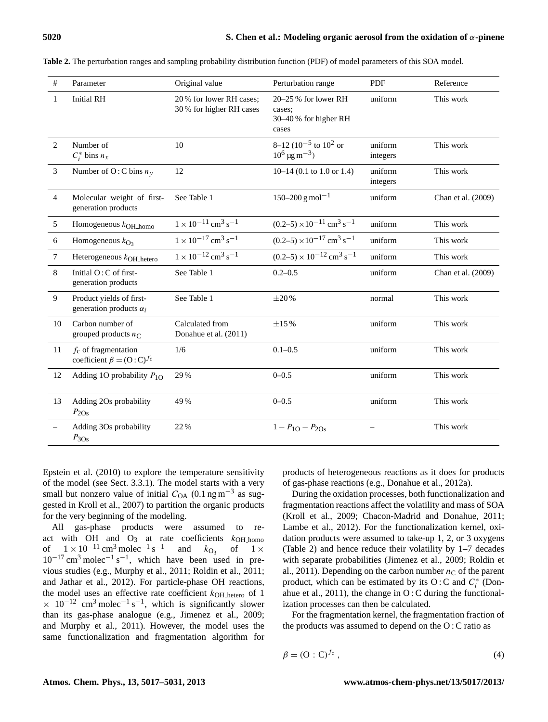| #              | Parameter                                                   | Original value                                      | Perturbation range                                                   | <b>PDF</b>          | Reference          |
|----------------|-------------------------------------------------------------|-----------------------------------------------------|----------------------------------------------------------------------|---------------------|--------------------|
| $\mathbf{1}$   | <b>Initial RH</b>                                           | 20% for lower RH cases;<br>30% for higher RH cases  | $20-25%$ for lower RH<br>cases;<br>30-40% for higher RH<br>cases     | uniform             | This work          |
| 2              | Number of<br>$C_i^*$ bins $n_x$                             | 10                                                  | 8–12 ( $10^{-5}$ to $10^{2}$ or<br>$10^6 \,\mathrm{\mu g\,m}^{-3}$ ) | uniform<br>integers | This work          |
| $\mathfrak{Z}$ | Number of O: C bins $n_v$                                   | 12                                                  | $10-14$ (0.1 to 1.0 or 1.4)                                          | uniform<br>integers | This work          |
| $\overline{4}$ | Molecular weight of first-<br>generation products           | See Table 1                                         | $150 - 200$ g mol <sup>-1</sup>                                      | uniform             | Chan et al. (2009) |
| $\sqrt{5}$     | Homogeneous $k_{\text{OH}\_\text{homo}}$                    | $1 \times 10^{-11}$ cm <sup>3</sup> s <sup>-1</sup> | $(0.2-5) \times 10^{-11}$ cm <sup>3</sup> s <sup>-1</sup>            | uniform             | This work          |
| 6              | Homogeneous $k_{\text{O}_3}$                                | $1 \times 10^{-17}$ cm <sup>3</sup> s <sup>-1</sup> | $(0.2-5) \times 10^{-17}$ cm <sup>3</sup> s <sup>-1</sup>            | uniform             | This work          |
| $\tau$         | Heterogeneous $k_{OH}$ hetero                               | $1 \times 10^{-12}$ cm <sup>3</sup> s <sup>-1</sup> | $(0.2-5) \times 10^{-12}$ cm <sup>3</sup> s <sup>-1</sup>            | uniform             | This work          |
| 8              | Initial $O: C$ of first-<br>generation products             | See Table 1                                         | $0.2 - 0.5$                                                          | uniform             | Chan et al. (2009) |
| 9              | Product yields of first-<br>generation products $\alpha_i$  | See Table 1                                         | $\pm 20\%$                                                           | normal              | This work          |
| 10             | Carbon number of<br>grouped products $n_C$                  | Calculated from<br>Donahue et al. (2011)            | $\pm 15\%$                                                           | uniform             | This work          |
| 11             | $f_c$ of fragmentation<br>coefficient $\beta = (O:C)^{f_c}$ | 1/6                                                 | $0.1 - 0.5$                                                          | uniform             | This work          |
| 12             | Adding 1O probability $P_{1O}$                              | 29 %                                                | $0 - 0.5$                                                            | uniform             | This work          |
| 13             | Adding 2Os probability<br>$P_{2Os}$                         | 49%                                                 | $0 - 0.5$                                                            | uniform             | This work          |
|                | Adding 3Os probability<br>$P_{3Os}$                         | 22%                                                 | $1 - P_{1O} - P_{2Os}$                                               |                     | This work          |

**Table 2.** The perturbation ranges and sampling probability distribution function (PDF) of model parameters of this SOA model.

Epstein et al. (2010) to explore the temperature sensitivity of the model (see Sect. 3.3.1). The model starts with a very small but nonzero value of initial  $C_{OA}$  (0.1 ng m<sup>-3</sup> as suggested in Kroll et al., 2007) to partition the organic products for the very beginning of the modeling.

All gas-phase products were assumed to react with OH and O<sub>3</sub> at rate coefficients  $k_{\text{OH} \text{ -}homo}$ <br>of  $1 \times 10^{-11} \text{ cm}^3 \text{ molecule}^{-1} \text{ s}^{-1}$  and  $k_{\text{O}z}$  of  $1 \times$ of  $1 \times 10^{-11}$  cm<sup>3</sup> molec<sup>-1</sup> s<sup>-1</sup> and  $k_{O_3}$  $1 \times$  $10^{-17}$  cm<sup>3</sup> molec<sup>-1</sup> s<sup>-1</sup>, which have been used in previous studies (e.g., Murphy et al., 2011; Roldin et al., 2011; and Jathar et al., 2012). For particle-phase OH reactions, the model uses an effective rate coefficient  $k_{\text{OH} \text{hetero}}$  of 1  $\times$  10<sup>-12</sup> cm<sup>3</sup> molec<sup>-1</sup> s<sup>-1</sup>, which is significantly slower than its gas-phase analogue (e.g., Jimenez et al., 2009; and Murphy et al., 2011). However, the model uses the same functionalization and fragmentation algorithm for products of heterogeneous reactions as it does for products of gas-phase reactions (e.g., Donahue et al., 2012a).

During the oxidation processes, both functionalization and fragmentation reactions affect the volatility and mass of SOA (Kroll et al., 2009; Chacon-Madrid and Donahue, 2011; Lambe et al., 2012). For the functionalization kernel, oxidation products were assumed to take-up 1, 2, or 3 oxygens (Table 2) and hence reduce their volatility by 1–7 decades with separate probabilities (Jimenez et al., 2009; Roldin et al., 2011). Depending on the carbon number  $n<sub>C</sub>$  of the parent product, which can be estimated by its O: C and  $C_i^*$  (Donahue et al.,  $2011$ ), the change in O : C during the functionalization processes can then be calculated.

For the fragmentation kernel, the fragmentation fraction of the products was assumed to depend on the O : C ratio as

$$
\beta = (0 : C)^{f_c},\tag{4}
$$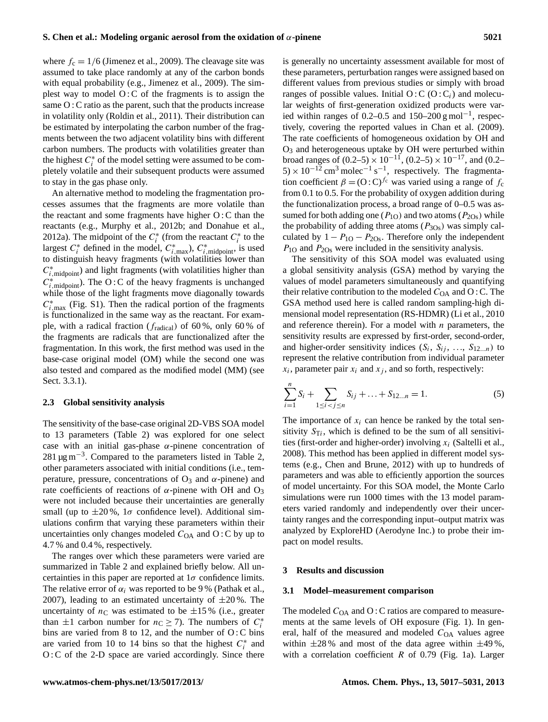where  $f_c = 1/6$  (Jimenez et al., 2009). The cleavage site was assumed to take place randomly at any of the carbon bonds with equal probability (e.g., Jimenez et al., 2009). The simplest way to model  $O: C$  of the fragments is to assign the same O : C ratio as the parent, such that the products increase in volatility only (Roldin et al., 2011). Their distribution can be estimated by interpolating the carbon number of the fragments between the two adjacent volatility bins with different carbon numbers. The products with volatilities greater than the highest  $C_i^*$  of the model setting were assumed to be completely volatile and their subsequent products were assumed to stay in the gas phase only.

An alternative method to modeling the fragmentation processes assumes that the fragments are more volatile than the reactant and some fragments have higher O : C than the reactants (e.g., Murphy et al., 2012b; and Donahue et al., 2012a). The midpoint of the  $C_i^*$  (from the reactant  $C_i^*$  to the largest  $C_i^*$  defined in the model,  $C_{i,\text{max}}^*$ ,  $C_{i,\text{midpoint}}^*$ , is used to distinguish heavy fragments (with volatilities lower than  $C^*_{i,\text{midpoint}}$ ) and light fragments (with volatilities higher than  $C_{i,\text{midpoint}}^*$ ). The O : C of the heavy fragments is unchanged while those of the light fragments move diagonally towards  $C_{i,\text{max}}^*$  (Fig. S1). Then the radical portion of the fragments is functionalized in the same way as the reactant. For example, with a radical fraction ( $f_{\text{radical}}$ ) of 60%, only 60% of the fragments are radicals that are functionalized after the fragmentation. In this work, the first method was used in the base-case original model (OM) while the second one was also tested and compared as the modified model (MM) (see Sect. 3.3.1).

#### **2.3 Global sensitivity analysis**

The sensitivity of the base-case original 2D-VBS SOA model to 13 parameters (Table 2) was explored for one select case with an initial gas-phase  $\alpha$ -pinene concentration of 281 µg m−<sup>3</sup> . Compared to the parameters listed in Table 2, other parameters associated with initial conditions (i.e., temperature, pressure, concentrations of  $O_3$  and  $\alpha$ -pinene) and rate coefficients of reactions of  $\alpha$ -pinene with OH and O<sub>3</sub> were not included because their uncertainties are generally small (up to  $\pm 20\%$ , 1 $\sigma$  confidence level). Additional simulations confirm that varying these parameters within their uncertainties only changes modeled  $C<sub>OA</sub>$  and  $O: C$  by up to 4.7 % and 0.4 %, respectively.

The ranges over which these parameters were varied are summarized in Table 2 and explained briefly below. All uncertainties in this paper are reported at  $1\sigma$  confidence limits. The relative error of  $\alpha_i$  was reported to be 9% (Pathak et al., 2007), leading to an estimated uncertainty of  $\pm 20\%$ . The uncertainty of  $n<sub>C</sub>$  was estimated to be  $\pm 15$ % (i.e., greater than  $\pm 1$  carbon number for  $n_c \ge 7$ ). The numbers of  $C_i^*$ bins are varied from 8 to 12, and the number of  $O: C$  bins are varied from 10 to 14 bins so that the highest  $C_i^*$  and O: C of the 2-D space are varied accordingly. Since there is generally no uncertainty assessment available for most of these parameters, perturbation ranges were assigned based on different values from previous studies or simply with broad ranges of possible values. Initial  $O: C(O:C_i)$  and molecular weights of first-generation oxidized products were varied within ranges of 0.2–0.5 and 150–200 g mol<sup>-1</sup>, respectively, covering the reported values in Chan et al. (2009). The rate coefficients of homogeneous oxidation by OH and  $O<sub>3</sub>$  and heterogeneous uptake by OH were perturbed within broad ranges of  $(0.2–5) \times 10^{-11}$ ,  $(0.2–5) \times 10^{-17}$ , and  $(0.2–5)$  $5 \times 10^{-12}$  cm<sup>3</sup> molec<sup>-1</sup> s<sup>-1</sup>, respectively. The fragmentation coefficient  $\beta = (O : C)^{f_c}$  was varied using a range of  $f_c$ from 0.1 to 0.5. For the probability of oxygen addition during the functionalization process, a broad range of 0–0.5 was assumed for both adding one ( $P_{1O}$ ) and two atoms ( $P_{2Os}$ ) while the probability of adding three atoms  $(P_{3Os})$  was simply calculated by  $1 - P_{10} - P_{20s}$ . Therefore only the independent  $P_{1O}$  and  $P_{2Os}$  were included in the sensitivity analysis.

The sensitivity of this SOA model was evaluated using a global sensitivity analysis (GSA) method by varying the values of model parameters simultaneously and quantifying their relative contribution to the modeled  $C_{OA}$  and  $O: C$ . The GSA method used here is called random sampling-high dimensional model representation (RS-HDMR) (Li et al., 2010 and reference therein). For a model with  $n$  parameters, the sensitivity results are expressed by first-order, second-order, and higher-order sensitivity indices  $(S_i, S_{ij}, ..., S_{12...n})$  to represent the relative contribution from individual parameter  $x_i$ , parameter pair  $x_i$  and  $x_j$ , and so forth, respectively:

$$
\sum_{i=1}^{n} S_i + \sum_{1 \le i < j \le n} S_{ij} + \dots + S_{12\dots n} = 1. \tag{5}
$$

The importance of  $x_i$  can hence be ranked by the total sensitivity  $S_{Ti}$ , which is defined to be the sum of all sensitivities (first-order and higher-order) involving  $x_i$  (Saltelli et al., 2008). This method has been applied in different model systems (e.g., Chen and Brune, 2012) with up to hundreds of parameters and was able to efficiently apportion the sources of model uncertainty. For this SOA model, the Monte Carlo simulations were run 1000 times with the 13 model parameters varied randomly and independently over their uncertainty ranges and the corresponding input–output matrix was analyzed by ExploreHD (Aerodyne Inc.) to probe their impact on model results.

#### **3 Results and discussion**

#### **3.1 Model–measurement comparison**

The modeled  $C_{OA}$  and O : C ratios are compared to measurements at the same levels of OH exposure (Fig. 1). In general, half of the measured and modeled  $C<sub>OA</sub>$  values agree within  $\pm 28\%$  and most of the data agree within  $\pm 49\%$ , with a correlation coefficient  $R$  of 0.79 (Fig. 1a). Larger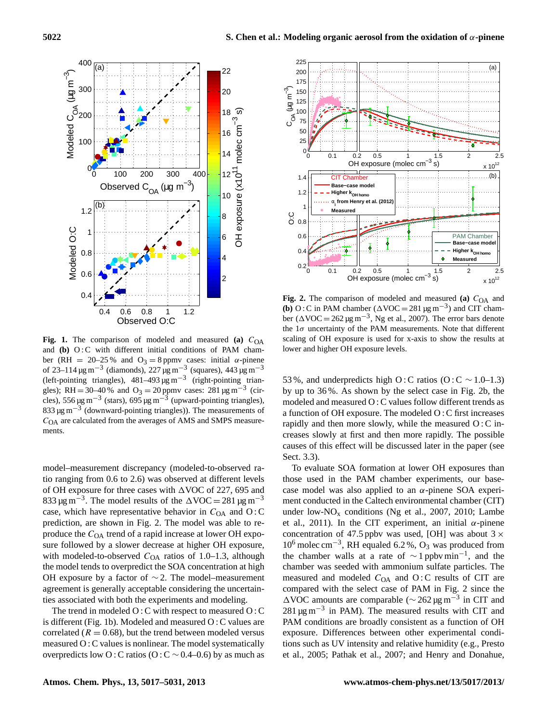

**Fig. 1.** The comparison of modeled and measured **(a)**  $C_{OA}$ and **(b)** O:C with different initial conditions of PAM chamber (RH = 20–25 % and O<sub>3</sub> = 8 ppmv cases: initial  $\alpha$ -pinene of 23–114 µg m<sup>-3</sup> (diamonds), 227 µg m<sup>-3</sup> (squares), 443 µg m<sup>-3</sup> (left-pointing triangles),  $481-493 \mu g m^{-3}$  (right-pointing triangles); RH = 30–40% and O<sub>3</sub> = 20 ppmv cases: 281  $\mu$ g m<sup>-3</sup> (circles), 556 µg m<sup>-3</sup> (stars), 695 µg m<sup>-3</sup> (upward-pointing triangles), 833 µg m−<sup>3</sup> (downward-pointing triangles)). The measurements of  $C<sub>OA</sub>$  are calculated from the averages of AMS and SMPS measurements.

model–measurement discrepancy (modeled-to-observed ratio ranging from 0.6 to 2.6) was observed at different levels of OH exposure for three cases with  $\triangle$ VOC of 227, 695 and 833 µg m<sup>-3</sup>. The model results of the  $\Delta$ VOC = 281 µg m<sup>-3</sup> case, which have representative behavior in  $C_{OA}$  and  $O: C$ prediction, are shown in Fig. 2. The model was able to reproduce the  $C<sub>OA</sub>$  trend of a rapid increase at lower OH exposure followed by a slower decrease at higher OH exposure, with modeled-to-observed  $C_{OA}$  ratios of 1.0–1.3, although the model tends to overpredict the SOA concentration at high OH exposure by a factor of ∼ 2. The model–measurement agreement is generally acceptable considering the uncertainties associated with both the experiments and modeling.

The trend in modeled O : C with respect to measured O : C is different (Fig. 1b). Modeled and measured O : C values are correlated ( $R = 0.68$ ), but the trend between modeled versus measured O : C values is nonlinear. The model systematically overpredicts low O : C ratios (O : C  $\sim$  0.4–0.6) by as much as



**Fig. 2.** The comparison of modeled and measured **(a)**  $C_{OA}$  and **(b)** O : C in PAM chamber ( $\triangle$ VOC = 281  $\mu$ g m<sup>-3</sup>) and CIT chamber ( $\Delta$ VOC = 262 µg m<sup>-3</sup>, Ng et al., 2007). The error bars denote the  $1\sigma$  uncertainty of the PAM measurements. Note that different scaling of OH exposure is used for x-axis to show the results at lower and higher OH exposure levels.

53 %, and underpredicts high O: C ratios (O: C ∼ 1.0–1.3) by up to 36 %. As shown by the select case in Fig. 2b, the modeled and measured O : C values follow different trends as a function of OH exposure. The modeled O : C first increases rapidly and then more slowly, while the measured O : C increases slowly at first and then more rapidly. The possible causes of this effect will be discussed later in the paper (see Sect. 3.3).

To evaluate SOA formation at lower OH exposures than those used in the PAM chamber experiments, our basecase model was also applied to an  $\alpha$ -pinene SOA experiment conducted in the Caltech environmental chamber (CIT) under low- $NO<sub>x</sub>$  conditions (Ng et al., 2007, 2010; Lambe et al., 2011). In the CIT experiment, an initial  $\alpha$ -pinene concentration of 47.5 ppbv was used, [OH] was about  $3 \times$ 10<sup>6</sup> molec cm−<sup>3</sup> , RH equaled 6.2 %, O<sup>3</sup> was produced from the chamber walls at a rate of  $\sim 1$  ppbv min<sup>-1</sup>, and the chamber was seeded with ammonium sulfate particles. The measured and modeled  $C<sub>OA</sub>$  and  $O: C$  results of CIT are compared with the select case of PAM in Fig. 2 since the  $\triangle$ VOC amounts are comparable ( $\sim$  262 µg m<sup>-3</sup> in CIT and 281 µg m−<sup>3</sup> in PAM). The measured results with CIT and PAM conditions are broadly consistent as a function of OH exposure. Differences between other experimental conditions such as UV intensity and relative humidity (e.g., Presto et al., 2005; Pathak et al., 2007; and Henry and Donahue,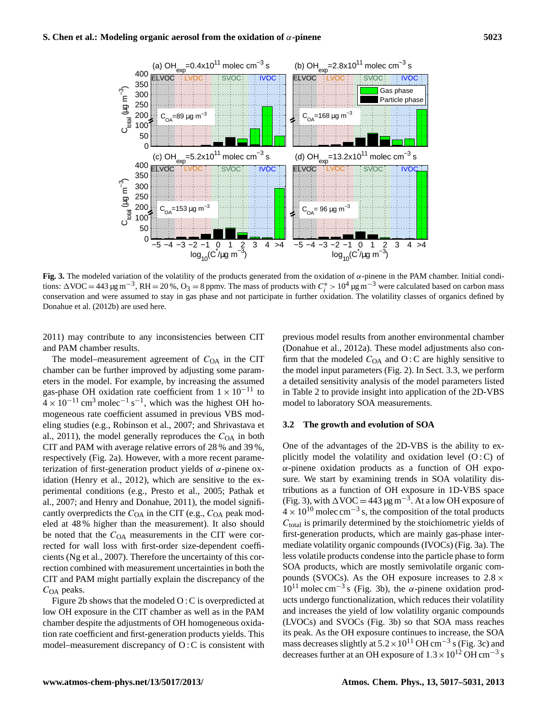

**Fig. 3.** The modeled variation of the volatility of the products generated from the oxidation of α-pinene in the PAM chamber. Initial conditions:  $\Delta \text{VOC} = 443 \,\mu\text{g m}^{-3}$ , RH = 20%, O<sub>3</sub> = 8 ppmv. The mass of products with  $C_i^* > 10^4 \,\mu\text{g m}^{-3}$  were calculated based on carbon mass conservation and were assumed to stay in gas phase and not participate in further oxidation. The volatility classes of organics defined by Donahue et al. (2012b) are used here.

2011) may contribute to any inconsistencies between CIT and PAM chamber results.

The model–measurement agreement of  $C_{OA}$  in the CIT chamber can be further improved by adjusting some parameters in the model. For example, by increasing the assumed gas-phase OH oxidation rate coefficient from  $1 \times 10^{-11}$  to  $4 \times 10^{-11}$  cm<sup>3</sup> molec<sup>-1</sup> s<sup>-1</sup>, which was the highest OH homogeneous rate coefficient assumed in previous VBS modeling studies (e.g., Robinson et al., 2007; and Shrivastava et al., 2011), the model generally reproduces the  $C<sub>OA</sub>$  in both CIT and PAM with average relative errors of 28 % and 39 %, respectively (Fig. 2a). However, with a more recent parameterization of first-generation product yields of  $\alpha$ -pinene oxidation (Henry et al., 2012), which are sensitive to the experimental conditions (e.g., Presto et al., 2005; Pathak et al., 2007; and Henry and Donahue, 2011), the model significantly overpredicts the  $C_{OA}$  in the CIT (e.g.,  $C_{OA}$  peak modeled at 48 % higher than the measurement). It also should be noted that the  $C<sub>OA</sub>$  measurements in the CIT were corrected for wall loss with first-order size-dependent coefficients (Ng et al., 2007). Therefore the uncertainty of this correction combined with measurement uncertainties in both the CIT and PAM might partially explain the discrepancy of the  $C<sub>OA</sub>$  peaks.

Figure 2b shows that the modeled O : C is overpredicted at low OH exposure in the CIT chamber as well as in the PAM chamber despite the adjustments of OH homogeneous oxidation rate coefficient and first-generation products yields. This model–measurement discrepancy of O : C is consistent with previous model results from another environmental chamber (Donahue et al., 2012a). These model adjustments also confirm that the modeled  $C_{OA}$  and  $O: C$  are highly sensitive to the model input parameters (Fig. 2). In Sect. 3.3, we perform a detailed sensitivity analysis of the model parameters listed in Table 2 to provide insight into application of the 2D-VBS model to laboratory SOA measurements.

#### **3.2 The growth and evolution of SOA**

One of the advantages of the 2D-VBS is the ability to explicitly model the volatility and oxidation level  $(O : C)$  of  $\alpha$ -pinene oxidation products as a function of OH exposure. We start by examining trends in SOA volatility distributions as a function of OH exposure in 1D-VBS space (Fig. 3), with  $\Delta$ VOC = 443 µg m<sup>-3</sup>. At a low OH exposure of  $4 \times 10^{10}$  molec cm<sup>-3</sup> s, the composition of the total products  $C<sub>total</sub>$  is primarily determined by the stoichiometric yields of first-generation products, which are mainly gas-phase intermediate volatility organic compounds (IVOCs) (Fig. 3a). The less volatile products condense into the particle phase to form SOA products, which are mostly semivolatile organic compounds (SVOCs). As the OH exposure increases to  $2.8 \times$  $10^{11}$  molec cm<sup>-3</sup> s (Fig. 3b), the  $\alpha$ -pinene oxidation products undergo functionalization, which reduces their volatility and increases the yield of low volatility organic compounds (LVOCs) and SVOCs (Fig. 3b) so that SOA mass reaches its peak. As the OH exposure continues to increase, the SOA mass decreases slightly at  $5.2 \times 10^{11}$  OH cm<sup>-3</sup> s (Fig. 3c) and decreases further at an OH exposure of  $1.3 \times 10^{12}$  OH cm<sup>-3</sup> s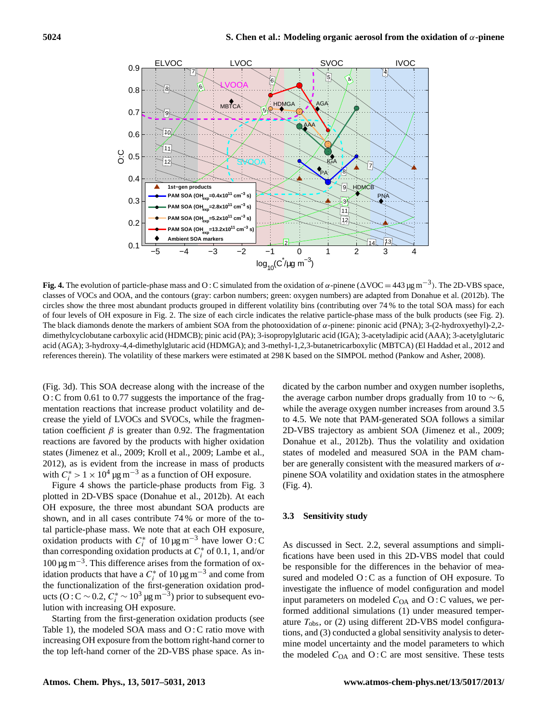

Fig. 4. The evolution of particle-phase mass and O: C simulated from the oxidation of  $\alpha$ -pinene ( $\Delta$ VOC = 443 µg m<sup>-3</sup>). The 2D-VBS space, classes of VOCs and OOA, and the contours (gray: carbon numbers; green: oxygen numbers) are adapted from Donahue et al. (2012b). The circles show the three most abundant products grouped in different volatility bins (contributing over 74 % to the total SOA mass) for each of four levels of OH exposure in Fig. 2. The size of each circle indicates the relative particle-phase mass of the bulk products (see Fig. 2). The black diamonds denote the markers of ambient SOA from the photooxidation of  $\alpha$ -pinene: pinonic acid (PNA); 3-(2-hydroxyethyl)-2,2dimethylcyclobutane carboxylic acid (HDMCB); pinic acid (PA); 3-isopropylglutaric acid (IGA); 3-acetyladipic acid (AAA); 3-acetylglutaric acid (AGA); 3-hydroxy-4,4-dimethylglutaric acid (HDMGA); and 3-methyl-1,2,3-butanetricarboxylic (MBTCA) (El Haddad et al., 2012 and references therein). The volatility of these markers were estimated at 298 K based on the SIMPOL method (Pankow and Asher, 2008).

(Fig. 3d). This SOA decrease along with the increase of the O: C from 0.61 to 0.77 suggests the importance of the fragmentation reactions that increase product volatility and decrease the yield of LVOCs and SVOCs, while the fragmentation coefficient  $\beta$  is greater than 0.92. The fragmentation reactions are favored by the products with higher oxidation states (Jimenez et al., 2009; Kroll et al., 2009; Lambe et al., 2012), as is evident from the increase in mass of products with  $C_i^* > 1 \times 10^4 \,\text{µg m}^{-3}$  as a function of OH exposure.

Figure 4 shows the particle-phase products from Fig. 3 plotted in 2D-VBS space (Donahue et al., 2012b). At each OH exposure, the three most abundant SOA products are shown, and in all cases contribute 74 % or more of the total particle-phase mass. We note that at each OH exposure, oxidation products with  $C_i^*$  of 10 µg m<sup>-3</sup> have lower O: C than corresponding oxidation products at  $C_i^*$  of 0.1, 1, and/or 100 µg m−<sup>3</sup> . This difference arises from the formation of oxidation products that have a  $C_i^*$  of 10 µg m<sup>-3</sup> and come from the functionalization of the first-generation oxidation products (O : C ∼ 0.2,  $C_i^*$  ∼ 10<sup>3</sup> μg m<sup>-3</sup>) prior to subsequent evolution with increasing OH exposure.

Starting from the first-generation oxidation products (see Table 1), the modeled SOA mass and O : C ratio move with increasing OH exposure from the bottom right-hand corner to the top left-hand corner of the 2D-VBS phase space. As in-

dicated by the carbon number and oxygen number isopleths, the average carbon number drops gradually from 10 to  $\sim$  6, while the average oxygen number increases from around 3.5 to 4.5. We note that PAM-generated SOA follows a similar 2D-VBS trajectory as ambient SOA (Jimenez et al., 2009; Donahue et al., 2012b). Thus the volatility and oxidation states of modeled and measured SOA in the PAM chamber are generally consistent with the measured markers of  $\alpha$ pinene SOA volatility and oxidation states in the atmosphere (Fig. 4).

### **3.3 Sensitivity study**

As discussed in Sect. 2.2, several assumptions and simplifications have been used in this 2D-VBS model that could be responsible for the differences in the behavior of measured and modeled  $O: C$  as a function of OH exposure. To investigate the influence of model configuration and model input parameters on modeled  $C<sub>OA</sub>$  and O : C values, we performed additional simulations (1) under measured temperature  $T_{\text{obs}}$ , or (2) using different 2D-VBS model configurations, and (3) conducted a global sensitivity analysis to determine model uncertainty and the model parameters to which the modeled  $C<sub>OA</sub>$  and O: C are most sensitive. These tests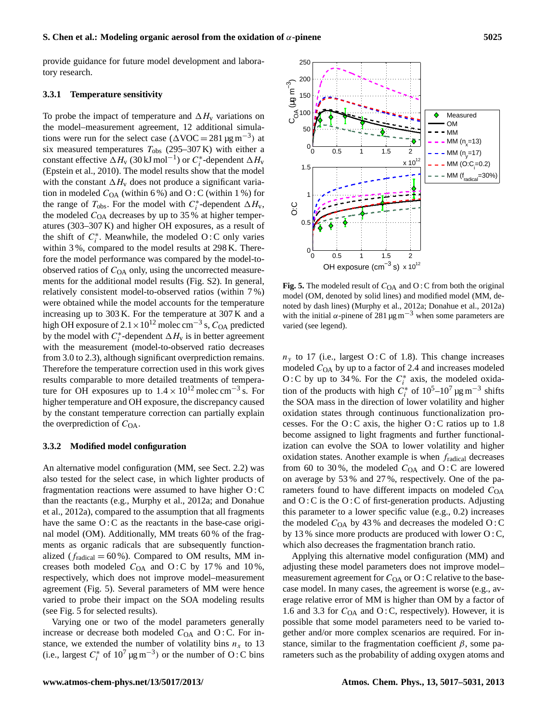#### **S. Chen et al.: Modeling organic aerosol from the oxidation of** α**-pinene 5025**

provide guidance for future model development and laboratory research.

# **3.3.1 Temperature sensitivity**

To probe the impact of temperature and  $\Delta H_v$  variations on the model–measurement agreement, 12 additional simulations were run for the select case  $(\Delta \text{VOC} = 281 \,\mu\text{g m}^{-3})$  at six measured temperatures  $T_{\text{obs}}$  (295–307 K) with either a constant effective  $\Delta H_v$  (30 kJ mol<sup>-1</sup>) or  $C_i^*$ -dependent  $\Delta H_v$ (Epstein et al., 2010). The model results show that the model with the constant  $\Delta H_v$  does not produce a significant variation in modeled  $C_{OA}$  (within 6%) and O:C (within 1%) for the range of  $T_{\text{obs}}$ . For the model with  $C_i^*$ -dependent  $\Delta H_v$ , the modeled  $C<sub>OA</sub>$  decreases by up to 35 % at higher temperatures (303–307 K) and higher OH exposures, as a result of the shift of  $C_i^*$ . Meanwhile, the modeled O:C only varies within 3 %, compared to the model results at 298 K. Therefore the model performance was compared by the model-toobserved ratios of  $C<sub>OA</sub>$  only, using the uncorrected measurements for the additional model results (Fig. S2). In general, relatively consistent model-to-observed ratios (within 7 %) were obtained while the model accounts for the temperature increasing up to 303 K. For the temperature at 307 K and a high OH exposure of 2.1 × 10<sup>12</sup> molec cm<sup>−3</sup> s,  $C_{\text{OA}}$  predicted by the model with  $C_i^*$ -dependent  $\Delta H_v$  is in better agreement with the measurement (model-to-observed ratio decreases from 3.0 to 2.3), although significant overprediction remains. Therefore the temperature correction used in this work gives results comparable to more detailed treatments of temperature for OH exposures up to  $1.4 \times 10^{12}$  molec cm<sup>-3</sup> s. For higher temperature and OH exposure, the discrepancy caused by the constant temperature correction can partially explain the overprediction of  $C_{\text{OA}}$ .

#### **3.3.2 Modified model configuration**

An alternative model configuration (MM, see Sect. 2.2) was also tested for the select case, in which lighter products of fragmentation reactions were assumed to have higher O : C than the reactants (e.g., Murphy et al., 2012a; and Donahue et al., 2012a), compared to the assumption that all fragments have the same O: C as the reactants in the base-case original model (OM). Additionally, MM treats 60 % of the fragments as organic radicals that are subsequently functionalized ( $f_{radical} = 60\%$ ). Compared to OM results, MM increases both modeled  $C_{OA}$  and O:C by 17% and 10%, respectively, which does not improve model–measurement agreement (Fig. 5). Several parameters of MM were hence varied to probe their impact on the SOA modeling results (see Fig. 5 for selected results).

Varying one or two of the model parameters generally increase or decrease both modeled  $C_{OA}$  and O : C. For instance, we extended the number of volatility bins  $n_x$  to 13 (i.e., largest  $C_i^*$  of  $10^7 \,\text{µg m}^{-3}$ ) or the number of O:C bins



**Fig. 5.** The modeled result of  $C_{OA}$  and O : C from both the original model (OM, denoted by solid lines) and modified model (MM, denoted by dash lines) (Murphy et al., 2012a; Donahue et al., 2012a) with the initial  $\alpha$ -pinene of 281 µg m<sup>-3</sup> when some parameters are varied (see legend).

 $n<sub>y</sub>$  to 17 (i.e., largest O:C of 1.8). This change increases modeled  $C<sub>OA</sub>$  by up to a factor of 2.4 and increases modeled O: C by up to 34%. For the  $C_i^*$  axis, the modeled oxidation of the products with high  $C_i^*$  of  $10^5$ – $10^7 \,\text{µg m}^{-3}$  shifts the SOA mass in the direction of lower volatility and higher oxidation states through continuous functionalization processes. For the  $O:$  C axis, the higher  $O:$  C ratios up to 1.8 become assigned to light fragments and further functionalization can evolve the SOA to lower volatility and higher oxidation states. Another example is when  $f_{\text{radical}}$  decreases from 60 to 30%, the modeled  $C_{OA}$  and O : C are lowered on average by 53 % and 27 %, respectively. One of the parameters found to have different impacts on modeled  $C<sub>OA</sub>$ and  $O: C$  is the  $O: C$  of first-generation products. Adjusting this parameter to a lower specific value (e.g., 0.2) increases the modeled  $C<sub>OA</sub>$  by 43% and decreases the modeled O:C by 13 % since more products are produced with lower O : C, which also decreases the fragmentation branch ratio.

Applying this alternative model configuration (MM) and adjusting these model parameters does not improve model– measurement agreement for  $C_{OA}$  or  $O: C$  relative to the basecase model. In many cases, the agreement is worse (e.g., average relative error of MM is higher than OM by a factor of 1.6 and 3.3 for  $C_{OA}$  and O : C, respectively). However, it is possible that some model parameters need to be varied together and/or more complex scenarios are required. For instance, similar to the fragmentation coefficient  $\beta$ , some parameters such as the probability of adding oxygen atoms and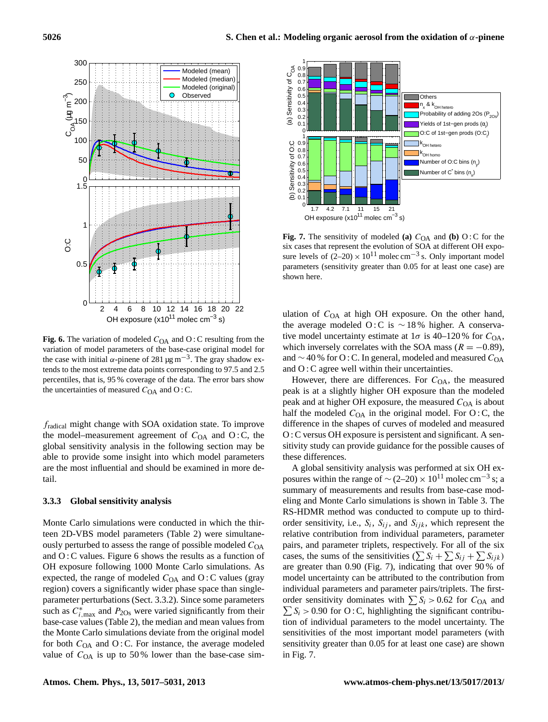

**Fig. 6.** The variation of modeled  $C_{OA}$  and  $O: C$  resulting from the variation of model parameters of the base-case original model for the case with initial  $\alpha$ -pinene of 281 μg m<sup>-3</sup>. The gray shadow extends to the most extreme data points corresponding to 97.5 and 2.5 percentiles, that is, 95 % coverage of the data. The error bars show the uncertainties of measured  $C_{OA}$  and O : C.

fradical might change with SOA oxidation state. To improve the model–measurement agreement of  $C_{OA}$  and  $O: C$ , the global sensitivity analysis in the following section may be able to provide some insight into which model parameters are the most influential and should be examined in more detail.

# **3.3.3 Global sensitivity analysis**

Monte Carlo simulations were conducted in which the thirteen 2D-VBS model parameters (Table 2) were simultaneously perturbed to assess the range of possible modeled  $C_{OA}$ and O : C values. Figure 6 shows the results as a function of OH exposure following 1000 Monte Carlo simulations. As expected, the range of modeled  $C_{OA}$  and  $O: C$  values (gray region) covers a significantly wider phase space than singleparameter perturbations (Sect. 3.3.2). Since some parameters such as  $C_{i, \text{max}}^*$  and  $P_{20s}$  were varied significantly from their base-case values (Table 2), the median and mean values from the Monte Carlo simulations deviate from the original model for both  $C_{OA}$  and O : C. For instance, the average modeled value of  $C<sub>OA</sub>$  is up to 50% lower than the base-case sim-



**Fig. 7.** The sensitivity of modeled **(a)**  $C_{OA}$  and **(b)** O : C for the six cases that represent the evolution of SOA at different OH exposure levels of  $(2-20) \times 10^{11}$  molec cm<sup>-3</sup> s. Only important model parameters (sensitivity greater than 0.05 for at least one case) are shown here.

ulation of  $C<sub>OA</sub>$  at high OH exposure. On the other hand, the average modeled O : C is  $\sim$  18% higher. A conservative model uncertainty estimate at  $1\sigma$  is 40–120% for  $C_{OA}$ , which inversely correlates with the SOA mass ( $R = -0.89$ ), and  $\sim$  40 % for O : C. In general, modeled and measured  $C_{OA}$ and O : C agree well within their uncertainties.

However, there are differences. For  $C_{OA}$ , the measured peak is at a slightly higher OH exposure than the modeled peak and at higher OH exposure, the measured  $C_{OA}$  is about half the modeled  $C_{OA}$  in the original model. For O:C, the difference in the shapes of curves of modeled and measured O : C versus OH exposure is persistent and significant. A sensitivity study can provide guidance for the possible causes of these differences.

A global sensitivity analysis was performed at six OH exposures within the range of  $\sim$  (2–20) × 10<sup>11</sup> molec cm<sup>-3</sup> s; a summary of measurements and results from base-case modeling and Monte Carlo simulations is shown in Table 3. The RS-HDMR method was conducted to compute up to thirdorder sensitivity, i.e.,  $S_i$ ,  $S_{ij}$ , and  $S_{ijk}$ , which represent the relative contribution from individual parameters, parameter pairs, and parameter triplets, respectively. For all of the six cases, the sums of the sensitivities  $(\sum S_i + \sum S_{ij} + \sum S_{ijk})$ are greater than 0.90 (Fig. 7), indicating that over 90 % of model uncertainty can be attributed to the contribution from individual parameters and parameter pairs/triplets. The firstorder sensitivity dominates with  $\sum S_i > 0.62$  for  $C_{OA}$  and  $\sum S_i > 0.90$  for O:C, highlighting the significant contribution of individual parameters to the model uncertainty. The sensitivities of the most important model parameters (with sensitivity greater than 0.05 for at least one case) are shown in Fig. 7.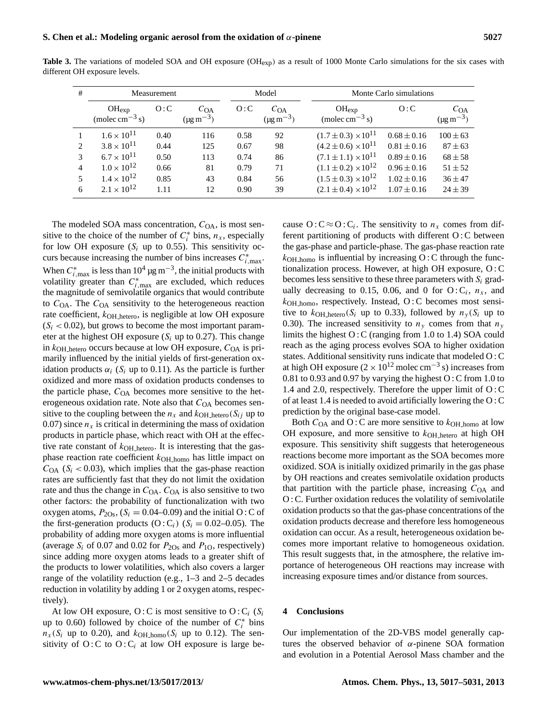| # | Measurement                                           |      |                                        | Model |                                        | Monte Carlo simulations                               |                 |                                            |
|---|-------------------------------------------------------|------|----------------------------------------|-------|----------------------------------------|-------------------------------------------------------|-----------------|--------------------------------------------|
|   | $OH_{exp}$<br>(molec cm <sup><math>-3</math></sup> s) | O: C | $C_{OA}$<br>$(\mu g \, \text{m}^{-3})$ | O:C   | $C_{OA}$<br>$(\mu g \, \text{m}^{-3})$ | $OH_{exp}$<br>(molec cm <sup><math>-3</math></sup> s) | O: C            | $C_{\rm OA}$<br>$(\mu g \, \text{m}^{-3})$ |
|   | $1.6 \times 10^{11}$                                  | 0.40 | 116                                    | 0.58  | 92                                     | $(1.7 \pm 0.3) \times 10^{11}$                        | $0.68 \pm 0.16$ | $100 \pm 63$                               |
|   | $3.8 \times 10^{11}$                                  | 0.44 | 125                                    | 0.67  | 98                                     | $(4.2 \pm 0.6) \times 10^{11}$                        | $0.81 \pm 0.16$ | $87 \pm 63$                                |
| 3 | $6.7 \times 10^{11}$                                  | 0.50 | 113                                    | 0.74  | 86                                     | $(7.1 \pm 1.1) \times 10^{11}$                        | $0.89 \pm 0.16$ | $68 \pm 58$                                |
| 4 | $1.0 \times 10^{12}$                                  | 0.66 | 81                                     | 0.79  | 71                                     | $(1.1 \pm 0.2) \times 10^{12}$                        | $0.96 \pm 0.16$ | $51 \pm 52$                                |
|   | $1.4 \times 10^{12}$                                  | 0.85 | 43                                     | 0.84  | 56                                     | $(1.5 \pm 0.3) \times 10^{12}$                        | $1.02 \pm 0.16$ | $36 \pm 47$                                |
| 6 | $2.1 \times 10^{12}$                                  | 1.11 | 12                                     | 0.90  | 39                                     | $(2.1 \pm 0.4) \times 10^{12}$                        | $1.07 \pm 0.16$ | $24 \pm 39$                                |

**Table 3.** The variations of modeled SOA and OH exposure (OH<sub>exp</sub>) as a result of 1000 Monte Carlo simulations for the six cases with different OH exposure levels.

The modeled SOA mass concentration,  $C_{OA}$ , is most sensitive to the choice of the number of  $C_i^*$  bins,  $n_x$ , especially for low OH exposure  $(S_i \text{ up to } 0.55)$ . This sensitivity occurs because increasing the number of bins increases  $C_{i, \text{max}}^*$ . When  $C_{i,\text{max}}^*$  is less than  $10^4 \,\text{µg m}^{-3}$ , the initial products with volatility greater than  $C_{i, \text{max}}^*$  are excluded, which reduces the magnitude of semivolatile organics that would contribute to  $C<sub>OA</sub>$ . The  $C<sub>OA</sub>$  sensitivity to the heterogeneous reaction rate coefficient,  $k_{\text{OH} \text{hetero}}$ , is negligible at low OH exposure  $(S_i < 0.02)$ , but grows to become the most important parameter at the highest OH exposure  $(S_i \text{ up to } 0.27)$ . This change in  $k_{\text{OH} \text{hetero}}$  occurs because at low OH exposure,  $C_{\text{OA}}$  is primarily influenced by the initial yields of first-generation oxidation products  $\alpha_i$  (S<sub>i</sub> up to 0.11). As the particle is further oxidized and more mass of oxidation products condenses to the particle phase,  $C<sub>OA</sub>$  becomes more sensitive to the heterogeneous oxidation rate. Note also that  $C<sub>OA</sub>$  becomes sensitive to the coupling between the  $n_x$  and  $k_{\text{OH}_{\text{hetero}}}(S_{ij})$  up to 0.07) since  $n_x$  is critical in determining the mass of oxidation products in particle phase, which react with OH at the effective rate constant of  $k_{\text{OH}_{\perp}}$  hetero. It is interesting that the gasphase reaction rate coefficient  $k_{\text{OH} \text{ homo}}$  has little impact on  $C_{\text{OA}}$  (S<sub>i</sub> < 0.03), which implies that the gas-phase reaction rates are sufficiently fast that they do not limit the oxidation rate and thus the change in  $C_{OA}$ .  $C_{OA}$  is also sensitive to two other factors: the probability of functionalization with two oxygen atoms,  $P_{2Os}$ , ( $S_i = 0.04{\text -}0.09$ ) and the initial O: C of the first-generation products  $(O: C_i)$   $(S_i = 0.02{\text -}0.05)$ . The probability of adding more oxygen atoms is more influential (average  $S_i$  of 0.07 and 0.02 for  $P_{2Os}$  and  $P_{1O}$ , respectively) since adding more oxygen atoms leads to a greater shift of the products to lower volatilities, which also covers a larger range of the volatility reduction (e.g., 1–3 and 2–5 decades reduction in volatility by adding 1 or 2 oxygen atoms, respectively).

At low OH exposure, O: C is most sensitive to O:  $C_i$  (S<sub>i</sub> up to 0.60) followed by choice of the number of  $C_i^*$  bins  $n_x(S_i$  up to 0.20), and  $k_{\text{OH}{}_{\text{homo}}}(S_i$  up to 0.12). The sensitivity of  $O: C$  to  $O: C_i$  at low OH exposure is large be-

cause  $O: C \approx O: C_i$ . The sensitivity to  $n_x$  comes from different partitioning of products with different O : C between the gas-phase and particle-phase. The gas-phase reaction rate  $k_{\text{OH}\_\text{homo}}$  is influential by increasing O: C through the functionalization process. However, at high OH exposure, O : C becomes less sensitive to these three parameters with  $S_i$  gradually decreasing to 0.15, 0.06, and 0 for  $O: C_i$ ,  $n_x$ , and  $k$ <sub>OH</sup> homo, respectively. Instead, O:C becomes most sensi-</sub> tive to  $k_{\text{OH} \text{hetero}}(S_i \text{ up to } 0.33)$ , followed by  $n_y(S_i \text{ up to } 0.33)$ 0.30). The increased sensitivity to  $n<sub>y</sub>$  comes from that  $n<sub>y</sub>$ limits the highest O : C (ranging from 1.0 to 1.4) SOA could reach as the aging process evolves SOA to higher oxidation states. Additional sensitivity runs indicate that modeled O : C at high OH exposure  $(2 \times 10^{12} \text{ molec cm}^{-3} \text{ s})$  increases from 0.81 to 0.93 and 0.97 by varying the highest O : C from 1.0 to 1.4 and 2.0, respectively. Therefore the upper limit of O : C of at least 1.4 is needed to avoid artificially lowering the O : C prediction by the original base-case model.

Both  $C<sub>OA</sub>$  and O : C are more sensitive to  $k<sub>OH</sub>$  homo at low OH exposure, and more sensitive to  $k$ <sub>OH hetero</sub> at high OH exposure. This sensitivity shift suggests that heterogeneous reactions become more important as the SOA becomes more oxidized. SOA is initially oxidized primarily in the gas phase by OH reactions and creates semivolatile oxidation products that partition with the particle phase, increasing  $C_{OA}$  and O : C. Further oxidation reduces the volatility of semivolatile oxidation products so that the gas-phase concentrations of the oxidation products decrease and therefore less homogeneous oxidation can occur. As a result, heterogeneous oxidation becomes more important relative to homogeneous oxidation. This result suggests that, in the atmosphere, the relative importance of heterogeneous OH reactions may increase with increasing exposure times and/or distance from sources.

#### **4 Conclusions**

Our implementation of the 2D-VBS model generally captures the observed behavior of  $\alpha$ -pinene SOA formation and evolution in a Potential Aerosol Mass chamber and the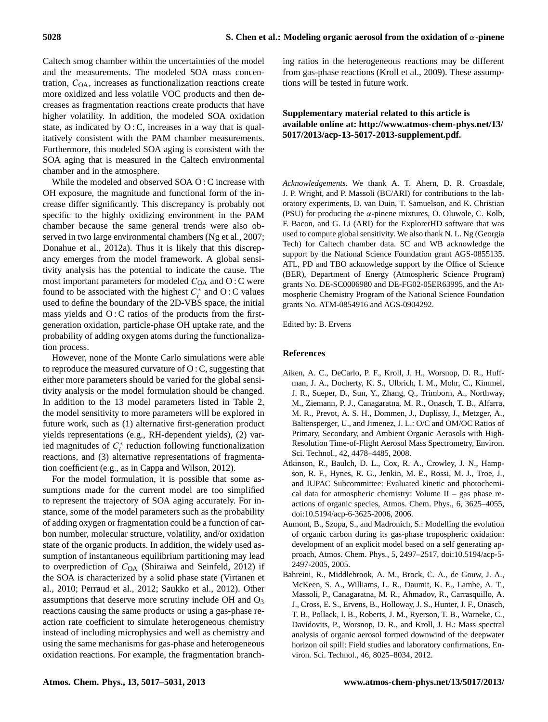Caltech smog chamber within the uncertainties of the model and the measurements. The modeled SOA mass concentration,  $C<sub>OA</sub>$ , increases as functionalization reactions create more oxidized and less volatile VOC products and then decreases as fragmentation reactions create products that have higher volatility. In addition, the modeled SOA oxidation state, as indicated by  $O: C$ , increases in a way that is qualitatively consistent with the PAM chamber measurements. Furthermore, this modeled SOA aging is consistent with the SOA aging that is measured in the Caltech environmental chamber and in the atmosphere.

While the modeled and observed SOA O : C increase with OH exposure, the magnitude and functional form of the increase differ significantly. This discrepancy is probably not specific to the highly oxidizing environment in the PAM chamber because the same general trends were also observed in two large environmental chambers (Ng et al., 2007; Donahue et al., 2012a). Thus it is likely that this discrepancy emerges from the model framework. A global sensitivity analysis has the potential to indicate the cause. The most important parameters for modeled  $C_{OA}$  and  $O: C$  were found to be associated with the highest  $C_i^*$  and O:C values used to define the boundary of the 2D-VBS space, the initial mass yields and O: C ratios of the products from the firstgeneration oxidation, particle-phase OH uptake rate, and the probability of adding oxygen atoms during the functionalization process.

However, none of the Monte Carlo simulations were able to reproduce the measured curvature of  $O: C$ , suggesting that either more parameters should be varied for the global sensitivity analysis or the model formulation should be changed. In addition to the 13 model parameters listed in Table 2, the model sensitivity to more parameters will be explored in future work, such as (1) alternative first-generation product yields representations (e.g., RH-dependent yields), (2) varied magnitudes of  $C_i^*$  reduction following functionalization reactions, and (3) alternative representations of fragmentation coefficient (e.g., as in Cappa and Wilson, 2012).

For the model formulation, it is possible that some assumptions made for the current model are too simplified to represent the trajectory of SOA aging accurately. For instance, some of the model parameters such as the probability of adding oxygen or fragmentation could be a function of carbon number, molecular structure, volatility, and/or oxidation state of the organic products. In addition, the widely used assumption of instantaneous equilibrium partitioning may lead to overprediction of  $C_{OA}$  (Shiraiwa and Seinfeld, 2012) if the SOA is characterized by a solid phase state (Virtanen et al., 2010; Perraud et al., 2012; Saukko et al., 2012). Other assumptions that deserve more scrutiny include OH and O<sup>3</sup> reactions causing the same products or using a gas-phase reaction rate coefficient to simulate heterogeneous chemistry instead of including microphysics and well as chemistry and using the same mechanisms for gas-phase and heterogeneous oxidation reactions. For example, the fragmentation branching ratios in the heterogeneous reactions may be different from gas-phase reactions (Kroll et al., 2009). These assumptions will be tested in future work.

# **Supplementary material related to this article is available online at: [http://www.atmos-chem-phys.net/13/](http://www.atmos-chem-phys.net/13/5017/2013/acp-13-5017-2013-supplement.pdf) [5017/2013/acp-13-5017-2013-supplement.pdf.](http://www.atmos-chem-phys.net/13/5017/2013/acp-13-5017-2013-supplement.pdf)**

*Acknowledgements.* We thank A. T. Ahern, D. R. Croasdale, J. P. Wright, and P. Massoli (BC/ARI) for contributions to the laboratory experiments, D. van Duin, T. Samuelson, and K. Christian (PSU) for producing the  $\alpha$ -pinene mixtures, O. Oluwole, C. Kolb, F. Bacon, and G. Li (ARI) for the ExplorerHD software that was used to compute global sensitivity. We also thank N. L. Ng (Georgia Tech) for Caltech chamber data. SC and WB acknowledge the support by the National Science Foundation grant AGS-0855135. ATL, PD and TBO acknowledge support by the Office of Science (BER), Department of Energy (Atmospheric Science Program) grants No. DE-SC0006980 and DE-FG02-05ER63995, and the Atmospheric Chemistry Program of the National Science Foundation grants No. ATM-0854916 and AGS-0904292.

Edited by: B. Ervens

# **References**

- Aiken, A. C., DeCarlo, P. F., Kroll, J. H., Worsnop, D. R., Huffman, J. A., Docherty, K. S., Ulbrich, I. M., Mohr, C., Kimmel, J. R., Sueper, D., Sun, Y., Zhang, Q., Trimborn, A., Northway, M., Ziemann, P. J., Canagaratna, M. R., Onasch, T. B., Alfarra, M. R., Prevot, A. S. H., Dommen, J., Duplissy, J., Metzger, A., Baltensperger, U., and Jimenez, J. L.: O/C and OM/OC Ratios of Primary, Secondary, and Ambient Organic Aerosols with High-Resolution Time-of-Flight Aerosol Mass Spectrometry, Environ. Sci. Technol., 42, 4478–4485, 2008.
- Atkinson, R., Baulch, D. L., Cox, R. A., Crowley, J. N., Hampson, R. F., Hynes, R. G., Jenkin, M. E., Rossi, M. J., Troe, J., and IUPAC Subcommittee: Evaluated kinetic and photochemical data for atmospheric chemistry: Volume II – gas phase reactions of organic species, Atmos. Chem. Phys., 6, 3625–4055, [doi:10.5194/acp-6-3625-2006,](http://dx.doi.org/10.5194/acp-6-3625-2006) 2006.
- Aumont, B., Szopa, S., and Madronich, S.: Modelling the evolution of organic carbon during its gas-phase tropospheric oxidation: development of an explicit model based on a self generating approach, Atmos. Chem. Phys., 5, 2497–2517, [doi:10.5194/acp-5-](http://dx.doi.org/10.5194/acp-5-2497-2005) [2497-2005,](http://dx.doi.org/10.5194/acp-5-2497-2005) 2005.
- Bahreini, R., Middlebrook, A. M., Brock, C. A., de Gouw, J. A., McKeen, S. A., Williams, L. R., Daumit, K. E., Lambe, A. T., Massoli, P., Canagaratna, M. R., Ahmadov, R., Carrasquillo, A. J., Cross, E. S., Ervens, B., Holloway, J. S., Hunter, J. F., Onasch, T. B., Pollack, I. B., Roberts, J. M., Ryerson, T. B., Warneke, C., Davidovits, P., Worsnop, D. R., and Kroll, J. H.: Mass spectral analysis of organic aerosol formed downwind of the deepwater horizon oil spill: Field studies and laboratory confirmations, Environ. Sci. Technol., 46, 8025–8034, 2012.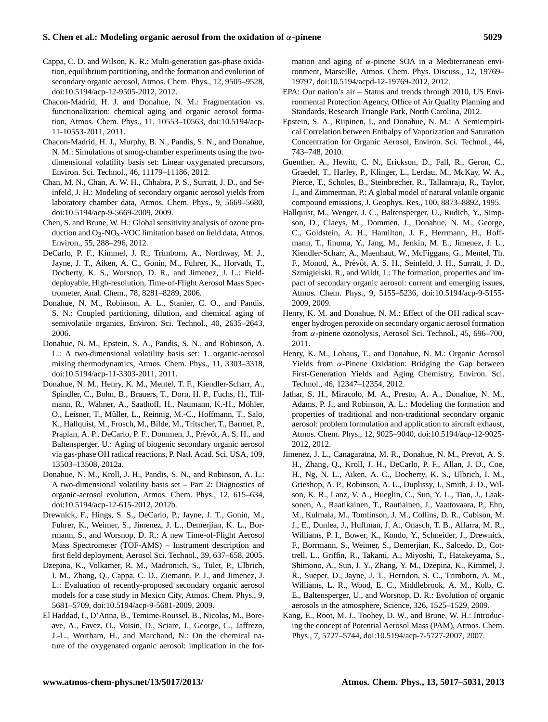# **S. Chen et al.: Modeling organic aerosol from the oxidation of** α**-pinene 5029**

- Cappa, C. D. and Wilson, K. R.: Multi-generation gas-phase oxidation, equilibrium partitioning, and the formation and evolution of secondary organic aerosol, Atmos. Chem. Phys., 12, 9505–9528, [doi:10.5194/acp-12-9505-2012,](http://dx.doi.org/10.5194/acp-12-9505-2012) 2012.
- Chacon-Madrid, H. J. and Donahue, N. M.: Fragmentation vs. functionalization: chemical aging and organic aerosol formation, Atmos. Chem. Phys., 11, 10553–10563, [doi:10.5194/acp-](http://dx.doi.org/10.5194/acp-11-10553-2011)[11-10553-2011,](http://dx.doi.org/10.5194/acp-11-10553-2011) 2011.
- Chacon-Madrid, H. J., Murphy, B. N., Pandis, S. N., and Donahue, N. M.: Simulations of smog-chamber experiments using the twodimensional volatility basis set: Linear oxygenated precursors, Environ. Sci. Technol., 46, 11179–11186, 2012.
- Chan, M. N., Chan, A. W. H., Chhabra, P. S., Surratt, J. D., and Seinfeld, J. H.: Modeling of secondary organic aerosol yields from laboratory chamber data, Atmos. Chem. Phys., 9, 5669–5680, [doi:10.5194/acp-9-5669-2009,](http://dx.doi.org/10.5194/acp-9-5669-2009) 2009.
- Chen, S. and Brune, W. H.: Global sensitivity analysis of ozone production and  $O_3$ -NO<sub>x</sub>-VOC limitation based on field data, Atmos. Environ., 55, 288–296, 2012.
- DeCarlo, P. F., Kimmel, J. R., Trimborn, A., Northway, M. J., Jayne, J. T., Aiken, A. C., Gonin, M., Fuhrer, K., Horvath, T., Docherty, K. S., Worsnop, D. R., and Jimenez, J. L.: Fielddeployable, High-resolution, Time-of-Flight Aerosol Mass Spectrometer, Anal. Chem., 78, 8281–8289, 2006.
- Donahue, N. M., Robinson, A. L., Stanier, C. O., and Pandis, S. N.: Coupled partitioning, dilution, and chemical aging of semivolatile organics, Environ. Sci. Technol., 40, 2635–2643, 2006.
- Donahue, N. M., Epstein, S. A., Pandis, S. N., and Robinson, A. L.: A two-dimensional volatility basis set: 1. organic-aerosol mixing thermodynamics, Atmos. Chem. Phys., 11, 3303–3318, [doi:10.5194/acp-11-3303-2011,](http://dx.doi.org/10.5194/acp-11-3303-2011) 2011.
- Donahue, N. M., Henry, K. M., Mentel, T. F., Kiendler-Scharr, A., Spindler, C., Bohn, B., Brauers, T., Dorn, H. P., Fuchs, H., Tillmann, R., Wahner, A., Saathoff, H., Naumann, K.-H., Möhler, O., Leisner, T., Müller, L., Reinnig, M.-C., Hoffmann, T., Salo, K., Hallquist, M., Frosch, M., Bilde, M., Tritscher, T., Barmet, P., Praplan, A. P., DeCarlo, P. F., Dommen, J., Prévôt, A. S. H., and Baltensperger, U.: Aging of biogenic secondary organic aerosol via gas-phase OH radical reactions, P. Natl. Acad. Sci. USA, 109, 13503–13508, 2012a.
- Donahue, N. M., Kroll, J. H., Pandis, S. N., and Robinson, A. L.: A two-dimensional volatility basis set – Part 2: Diagnostics of organic-aerosol evolution, Atmos. Chem. Phys., 12, 615–634, [doi:10.5194/acp-12-615-2012,](http://dx.doi.org/10.5194/acp-12-615-2012) 2012b.
- Drewnick, F., Hings, S. S., DeCarlo, P., Jayne, J. T., Gonin, M., Fuhrer, K., Weimer, S., Jimenez, J. L., Demerjian, K. L., Borrmann, S., and Worsnop, D. R.: A new Time-of-Flight Aerosol Mass Spectrometer (TOF-AMS) – Instrument description and first field deployment, Aerosol Sci. Technol., 39, 637–658, 2005.
- Dzepina, K., Volkamer, R. M., Madronich, S., Tulet, P., Ulbrich, I. M., Zhang, Q., Cappa, C. D., Ziemann, P. J., and Jimenez, J. L.: Evaluation of recently-proposed secondary organic aerosol models for a case study in Mexico City, Atmos. Chem. Phys., 9, 5681–5709, [doi:10.5194/acp-9-5681-2009,](http://dx.doi.org/10.5194/acp-9-5681-2009) 2009.
- El Haddad, I., D'Anna, B., Temime-Roussel, B., Nicolas, M., Boreave, A., Favez, O., Voisin, D., Sciare, J., George, C., Jaffrezo, J.-L., Wortham, H., and Marchand, N.: On the chemical nature of the oxygenated organic aerosol: implication in the for-

mation and aging of  $\alpha$ -pinene SOA in a Mediterranean environment, Marseille, Atmos. Chem. Phys. Discuss., 12, 19769– 19797, [doi:10.5194/acpd-12-19769-2012,](http://dx.doi.org/10.5194/acpd-12-19769-2012) 2012.

- EPA: Our nation's air Status and trends through 2010, US Environmental Protection Agency, Office of Air Quality Planning and Standards, Research Triangle Park, North Carolina, 2012.
- Epstein, S. A., Riipinen, I., and Donahue, N. M.: A Semiempirical Correlation between Enthalpy of Vaporization and Saturation Concentration for Organic Aerosol, Environ. Sci. Technol., 44, 743–748, 2010.
- Guenther, A., Hewitt, C. N., Erickson, D., Fall, R., Geron, C., Graedel, T., Harley, P., Klinger, L., Lerdau, M., McKay, W. A., Pierce, T., Scholes, B., Steinbrecher, R., Tallamraju, R., Taylor, J., and Zimmerman, P.: A global model of natural volatile organic compound emissions, J. Geophys. Res., 100, 8873–8892, 1995.
- Hallquist, M., Wenger, J. C., Baltensperger, U., Rudich, Y., Simpson, D., Claeys, M., Dommen, J., Donahue, N. M., George, C., Goldstein, A. H., Hamilton, J. F., Herrmann, H., Hoffmann, T., Iinuma, Y., Jang, M., Jenkin, M. E., Jimenez, J. L., Kiendler-Scharr, A., Maenhaut, W., McFiggans, G., Mentel, Th. F., Monod, A., Prévôt, A. S. H., Seinfeld, J. H., Surratt, J. D., Szmigielski, R., and Wildt, J.: The formation, properties and impact of secondary organic aerosol: current and emerging issues, Atmos. Chem. Phys., 9, 5155–5236, [doi:10.5194/acp-9-5155-](http://dx.doi.org/10.5194/acp-9-5155-2009) [2009,](http://dx.doi.org/10.5194/acp-9-5155-2009) 2009.
- Henry, K. M. and Donahue, N. M.: Effect of the OH radical scavenger hydrogen peroxide on secondary organic aerosol formation from α-pinene ozonolysis, Aerosol Sci. Technol., 45, 696–700, 2011.
- Henry, K. M., Lohaus, T., and Donahue, N. M.: Organic Aerosol Yields from  $\alpha$ -Pinene Oxidation: Bridging the Gap between First-Generation Yields and Aging Chemistry, Environ. Sci. Technol., 46, 12347–12354, 2012.
- Jathar, S. H., Miracolo, M. A., Presto, A. A., Donahue, N. M., Adams, P. J., and Robinson, A. L.: Modeling the formation and properties of traditional and non-traditional secondary organic aerosol: problem formulation and application to aircraft exhaust, Atmos. Chem. Phys., 12, 9025–9040, [doi:10.5194/acp-12-9025-](http://dx.doi.org/10.5194/acp-12-9025-2012) [2012,](http://dx.doi.org/10.5194/acp-12-9025-2012) 2012.
- Jimenez, J. L., Canagaratna, M. R., Donahue, N. M., Prevot, A. S. H., Zhang, Q., Kroll, J. H., DeCarlo, P. F., Allan, J. D., Coe, H., Ng, N. L., Aiken, A. C., Docherty, K. S., Ulbrich, I. M., Grieshop, A. P., Robinson, A. L., Duplissy, J., Smith, J. D., Wilson, K. R., Lanz, V. A., Hueglin, C., Sun, Y. L., Tian, J., Laaksonen, A., Raatikainen, T., Rautiainen, J., Vaattovaara, P., Ehn, M., Kulmala, M., Tomlinson, J. M., Collins, D. R., Cubison, M. J., E., Dunlea, J., Huffman, J. A., Onasch, T. B., Alfarra, M. R., Williams, P. I., Bower, K., Kondo, Y., Schneider, J., Drewnick, F., Borrmann, S., Weimer, S., Demerjian, K., Salcedo, D., Cottrell, L., Griffin, R., Takami, A., Miyoshi, T., Hatakeyama, S., Shimono, A., Sun, J. Y., Zhang, Y. M., Dzepina, K., Kimmel, J. R., Sueper, D., Jayne, J. T., Herndon, S. C., Trimborn, A. M., Williams, L. R., Wood, E. C., Middlebrook, A. M., Kolb, C. E., Baltensperger, U., and Worsnop, D. R.: Evolution of organic aerosols in the atmosphere, Science, 326, 1525–1529, 2009.
- Kang, E., Root, M. J., Toohey, D. W., and Brune, W. H.: Introducing the concept of Potential Aerosol Mass (PAM), Atmos. Chem. Phys., 7, 5727–5744, [doi:10.5194/acp-7-5727-2007,](http://dx.doi.org/10.5194/acp-7-5727-2007) 2007.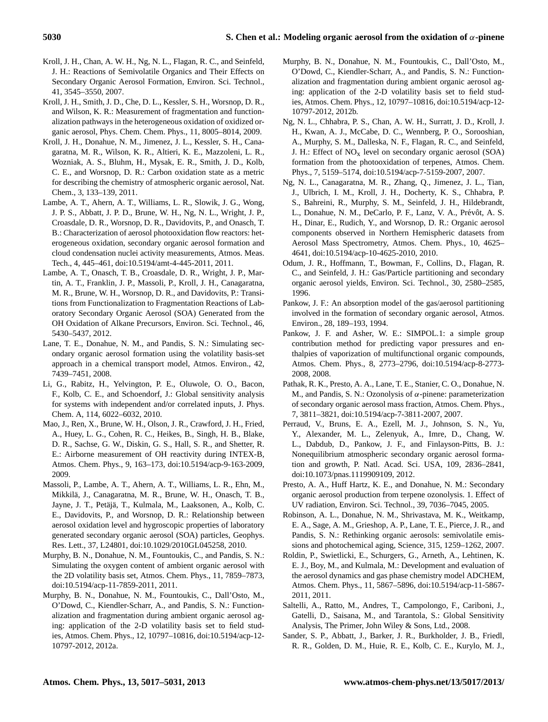- Kroll, J. H., Chan, A. W. H., Ng, N. L., Flagan, R. C., and Seinfeld, J. H.: Reactions of Semivolatile Organics and Their Effects on Secondary Organic Aerosol Formation, Environ. Sci. Technol., 41, 3545–3550, 2007.
- Kroll, J. H., Smith, J. D., Che, D. L., Kessler, S. H., Worsnop, D. R., and Wilson, K. R.: Measurement of fragmentation and functionalization pathways in the heterogeneous oxidation of oxidized organic aerosol, Phys. Chem. Chem. Phys., 11, 8005–8014, 2009.
- Kroll, J. H., Donahue, N. M., Jimenez, J. L., Kessler, S. H., Canagaratna, M. R., Wilson, K. R., Altieri, K. E., Mazzoleni, L. R., Wozniak, A. S., Bluhm, H., Mysak, E. R., Smith, J. D., Kolb, C. E., and Worsnop, D. R.: Carbon oxidation state as a metric for describing the chemistry of atmospheric organic aerosol, Nat. Chem., 3, 133–139, 2011.
- Lambe, A. T., Ahern, A. T., Williams, L. R., Slowik, J. G., Wong, J. P. S., Abbatt, J. P. D., Brune, W. H., Ng, N. L., Wright, J. P., Croasdale, D. R., Worsnop, D. R., Davidovits, P., and Onasch, T. B.: Characterization of aerosol photooxidation flow reactors: heterogeneous oxidation, secondary organic aerosol formation and cloud condensation nuclei activity measurements, Atmos. Meas. Tech., 4, 445–461, [doi:10.5194/amt-4-445-2011,](http://dx.doi.org/10.5194/amt-4-445-2011) 2011.
- Lambe, A. T., Onasch, T. B., Croasdale, D. R., Wright, J. P., Martin, A. T., Franklin, J. P., Massoli, P., Kroll, J. H., Canagaratna, M. R., Brune, W. H., Worsnop, D. R., and Davidovits, P.: Transitions from Functionalization to Fragmentation Reactions of Laboratory Secondary Organic Aerosol (SOA) Generated from the OH Oxidation of Alkane Precursors, Environ. Sci. Technol., 46, 5430–5437, 2012.
- Lane, T. E., Donahue, N. M., and Pandis, S. N.: Simulating secondary organic aerosol formation using the volatility basis-set approach in a chemical transport model, Atmos. Environ., 42, 7439–7451, 2008.
- Li, G., Rabitz, H., Yelvington, P. E., Oluwole, O. O., Bacon, F., Kolb, C. E., and Schoendorf, J.: Global sensitivity analysis for systems with independent and/or correlated inputs, J. Phys. Chem. A, 114, 6022–6032, 2010.
- Mao, J., Ren, X., Brune, W. H., Olson, J. R., Crawford, J. H., Fried, A., Huey, L. G., Cohen, R. C., Heikes, B., Singh, H. B., Blake, D. R., Sachse, G. W., Diskin, G. S., Hall, S. R., and Shetter, R. E.: Airborne measurement of OH reactivity during INTEX-B, Atmos. Chem. Phys., 9, 163–173, [doi:10.5194/acp-9-163-2009,](http://dx.doi.org/10.5194/acp-9-163-2009) 2009.
- Massoli, P., Lambe, A. T., Ahern, A. T., Williams, L. R., Ehn, M., Mikkila, J., Canagaratna, M. R., Brune, W. H., Onasch, T. B., ¨ Jayne, J. T., Petäjä, T., Kulmala, M., Laaksonen, A., Kolb, C. E., Davidovits, P., and Worsnop, D. R.: Relationship between aerosol oxidation level and hygroscopic properties of laboratory generated secondary organic aerosol (SOA) particles, Geophys. Res. Lett., 37, L24801, [doi:10.1029/2010GL045258,](http://dx.doi.org/10.1029/2010GL045258) 2010.
- Murphy, B. N., Donahue, N. M., Fountoukis, C., and Pandis, S. N.: Simulating the oxygen content of ambient organic aerosol with the 2D volatility basis set, Atmos. Chem. Phys., 11, 7859–7873, [doi:10.5194/acp-11-7859-2011,](http://dx.doi.org/10.5194/acp-11-7859-2011) 2011.
- Murphy, B. N., Donahue, N. M., Fountoukis, C., Dall'Osto, M., O'Dowd, C., Kiendler-Scharr, A., and Pandis, S. N.: Functionalization and fragmentation during ambient organic aerosol aging: application of the 2-D volatility basis set to field studies, Atmos. Chem. Phys., 12, 10797–10816, [doi:10.5194/acp-12-](http://dx.doi.org/10.5194/acp-12-10797-2012) [10797-2012,](http://dx.doi.org/10.5194/acp-12-10797-2012) 2012a.
- Murphy, B. N., Donahue, N. M., Fountoukis, C., Dall'Osto, M., O'Dowd, C., Kiendler-Scharr, A., and Pandis, S. N.: Functionalization and fragmentation during ambient organic aerosol aging: application of the 2-D volatility basis set to field studies, Atmos. Chem. Phys., 12, 10797–10816, [doi:10.5194/acp-12-](http://dx.doi.org/10.5194/acp-12-10797-2012) [10797-2012,](http://dx.doi.org/10.5194/acp-12-10797-2012) 2012b.
- Ng, N. L., Chhabra, P. S., Chan, A. W. H., Surratt, J. D., Kroll, J. H., Kwan, A. J., McCabe, D. C., Wennberg, P. O., Sorooshian, A., Murphy, S. M., Dalleska, N. F., Flagan, R. C., and Seinfeld, J. H.: Effect of  $NO<sub>x</sub>$  level on secondary organic aerosol (SOA) formation from the photooxidation of terpenes, Atmos. Chem. Phys., 7, 5159–5174, [doi:10.5194/acp-7-5159-2007,](http://dx.doi.org/10.5194/acp-7-5159-2007) 2007.
- Ng, N. L., Canagaratna, M. R., Zhang, Q., Jimenez, J. L., Tian, J., Ulbrich, I. M., Kroll, J. H., Docherty, K. S., Chhabra, P. S., Bahreini, R., Murphy, S. M., Seinfeld, J. H., Hildebrandt, L., Donahue, N. M., DeCarlo, P. F., Lanz, V. A., Prévôt, A. S. H., Dinar, E., Rudich, Y., and Worsnop, D. R.: Organic aerosol components observed in Northern Hemispheric datasets from Aerosol Mass Spectrometry, Atmos. Chem. Phys., 10, 4625– 4641, [doi:10.5194/acp-10-4625-2010,](http://dx.doi.org/10.5194/acp-10-4625-2010) 2010.
- Odum, J. R., Hoffmann, T., Bowman, F., Collins, D., Flagan, R. C., and Seinfeld, J. H.: Gas/Particle partitioning and secondary organic aerosol yields, Environ. Sci. Technol., 30, 2580–2585, 1996.
- Pankow, J. F.: An absorption model of the gas/aerosol partitioning involved in the formation of secondary organic aerosol, Atmos. Environ., 28, 189–193, 1994.
- Pankow, J. F. and Asher, W. E.: SIMPOL.1: a simple group contribution method for predicting vapor pressures and enthalpies of vaporization of multifunctional organic compounds, Atmos. Chem. Phys., 8, 2773–2796, [doi:10.5194/acp-8-2773-](http://dx.doi.org/10.5194/acp-8-2773-2008) [2008,](http://dx.doi.org/10.5194/acp-8-2773-2008) 2008.
- Pathak, R. K., Presto, A. A., Lane, T. E., Stanier, C. O., Donahue, N. M., and Pandis, S. N.: Ozonolysis of  $\alpha$ -pinene: parameterization of secondary organic aerosol mass fraction, Atmos. Chem. Phys., 7, 3811–3821, [doi:10.5194/acp-7-3811-2007,](http://dx.doi.org/10.5194/acp-7-3811-2007) 2007.
- Perraud, V., Bruns, E. A., Ezell, M. J., Johnson, S. N., Yu, Y., Alexander, M. L., Zelenyuk, A., Imre, D., Chang, W. L., Dabdub, D., Pankow, J. F., and Finlayson-Pitts, B. J.: Nonequilibrium atmospheric secondary organic aerosol formation and growth, P. Natl. Acad. Sci. USA, 109, 2836–2841, [doi:10.1073/pnas.1119909109,](http://dx.doi.org/10.1073/pnas.1119909109) 2012.
- Presto, A. A., Huff Hartz, K. E., and Donahue, N. M.: Secondary organic aerosol production from terpene ozonolysis. 1. Effect of UV radiation, Environ. Sci. Technol., 39, 7036–7045, 2005.
- Robinson, A. L., Donahue, N. M., Shrivastava, M. K., Weitkamp, E. A., Sage, A. M., Grieshop, A. P., Lane, T. E., Pierce, J. R., and Pandis, S. N.: Rethinking organic aerosols: semivolatile emissions and photochemical aging, Science, 315, 1259–1262, 2007.
- Roldin, P., Swietlicki, E., Schurgers, G., Arneth, A., Lehtinen, K. E. J., Boy, M., and Kulmala, M.: Development and evaluation of the aerosol dynamics and gas phase chemistry model ADCHEM, Atmos. Chem. Phys., 11, 5867–5896, [doi:10.5194/acp-11-5867-](http://dx.doi.org/10.5194/acp-11-5867-2011) [2011,](http://dx.doi.org/10.5194/acp-11-5867-2011) 2011.
- Saltelli, A., Ratto, M., Andres, T., Campolongo, F., Cariboni, J., Gatelli, D., Saisana, M., and Tarantola, S.: Global Sensitivity Analysis, The Primer, John Wiley & Sons, Ltd., 2008.
- Sander, S. P., Abbatt, J., Barker, J. R., Burkholder, J. B., Friedl, R. R., Golden, D. M., Huie, R. E., Kolb, C. E., Kurylo, M. J.,